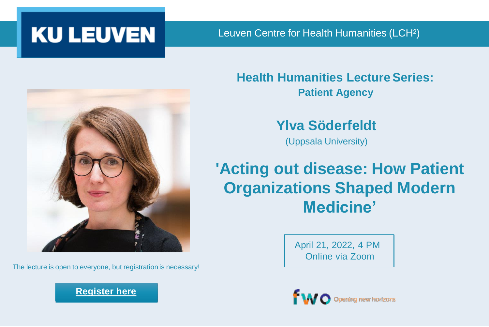

Leuven Centre for Health Humanities (LCH²)



The lecture is open to everyone, but registration is necessary!

#### **[Register here](https://ghum.kuleuven.be/LCHH/registration-lecture-series-2021-2022)**

**Health Humanities Lecture Series: Patient Agency**

**Ylva Söderfeldt**

(Uppsala University)

## **'Acting out disease: How Patient Organizations Shaped Modern Medicine'**

April 21, 2022, 4 PM Online via Zoom